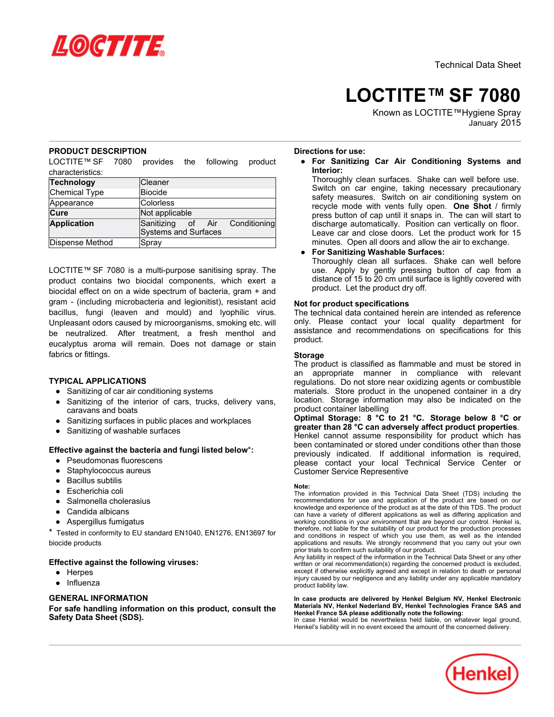

# **LOCTITE™ SF 7080**

Known as LOCTITE™Hygiene Spray January 2015

## **PRODUCT DESCRIPTION**

LOCTITE™ SF 7080 provides the following product characteristics:

| <b>Technology</b>  | Cleaner                        |
|--------------------|--------------------------------|
| Chemical Type      | Biocide                        |
| Appearance         | Colorless                      |
| Cure               | Not applicable                 |
| <b>Application</b> | Sanitizing of Air Conditioning |
|                    | Systems and Surfaces           |
| Dispense Method    | Spray                          |

LOCTITE™ SF 7080 is a multi-purpose sanitising spray. The product contains two biocidal components, which exert a biocidal effect on on a wide spectrum of bacteria, gram + and gram - (including microbacteria and legionitist), resistant acid bacillus, fungi (leaven and mould) and lyophilic virus. Unpleasant odors caused by microorganisms, smoking etc. will be neutralized. After treatment, a fresh menthol and eucalyptus aroma will remain. Does not damage or stain fabrics or fittings.

## **TYPICAL APPLICATIONS**

- Sanitizing of car air conditioning systems
- Sanitizing of the interior of cars, trucks, delivery vans, caravans and boats
- Sanitizing surfaces in public places and workplaces
- Sanitizing of washable surfaces

## **Effective against the bacteria and fungi listed below**\***:**

- Pseudomonas fluorescens
- Staphylococcus aureus
- **Bacillus subtilis**
- Escherichia coli
- Salmonella cholerasius
- Candida albicans
- Aspergillus fumigatus

\* Tested in conformity to EU standard EN1040, EN1276, EN13697 for biocide products

## **Effective against the following viruses:**

- Herpes
- Influenza

## **GENERAL INFORMATION**

**For safe handling information on this product, consult the Safety Data Sheet (SDS).**

## **Directions for use:**

● **For Sanitizing Car Air Conditioning Systems and Interior:**

Thoroughly clean surfaces. Shake can well before use. Switch on car engine, taking necessary precautionary safety measures. Switch on air conditioning system on recycle mode with vents fully open. **One Shot** / firmly press button of cap until it snaps in. The can will start to discharge automatically. Position can vertically on floor. Leave car and close doors. Let the product work for 15 minutes. Open all doors and allow the air to exchange.

## ● **For Sanitizing Washable Surfaces:**

Thoroughly clean all surfaces. Shake can well before use. Apply by gently pressing button of cap from a distance of 15 to 20 cm until surface is lightly covered with product. Let the product dry off.

#### **Not for product specifications**

The technical data contained herein are intended as reference only. Please contact your local quality department for assistance and recommendations on specifications for this product.

#### **Storage**

The product is classified as flammable and must be stored in an appropriate manner in compliance with relevant regulations. Do not store near oxidizing agents or combustible materials. Store product in the unopened container in a dry location. Storage information may also be indicated on the product container labelling

**Optimal Storage: 8 °C to 21 °C. Storage below 8 °C or greater than 28 °C can adversely affect product properties**. Henkel cannot assume responsibility for product which has been contaminated or stored under conditions other than those previously indicated. If additional information is required, please contact your local Technical Service Center or Customer Service Representive

#### **Note:**

The information provided in this Technical Data Sheet (TDS) including the recommendations for use and application of the product are based on our knowledge and experience of the product as at the date of this TDS. The product can have a variety of different applications as well as differing application and working conditions in your environment that are beyond our control. Henkel is, therefore, not liable for the suitability of our product for the production processes and conditions in respect of which you use them, as well as the intended applications and results. We strongly recommend that you carry out your own prior trials to confirm such suitability of our product.

Any liability in respect of the information in the Technical Data Sheet or any other written or oral recommendation(s) regarding the concerned product is excluded, except if otherwise explicitly agreed and except in relation to death or personal injury caused by our negligence and any liability under any applicable mandatory product liability law.

**In case products are delivered by Henkel Belgium NV, Henkel Electronic Materials NV, Henkel Nederland BV, Henkel Technologies France SAS and Henkel France SA please additionally note the following:** 

In case Henkel would be nevertheless held liable, on whatever legal ground, Henkel's liability will in no event exceed the amount of the concerned delivery.